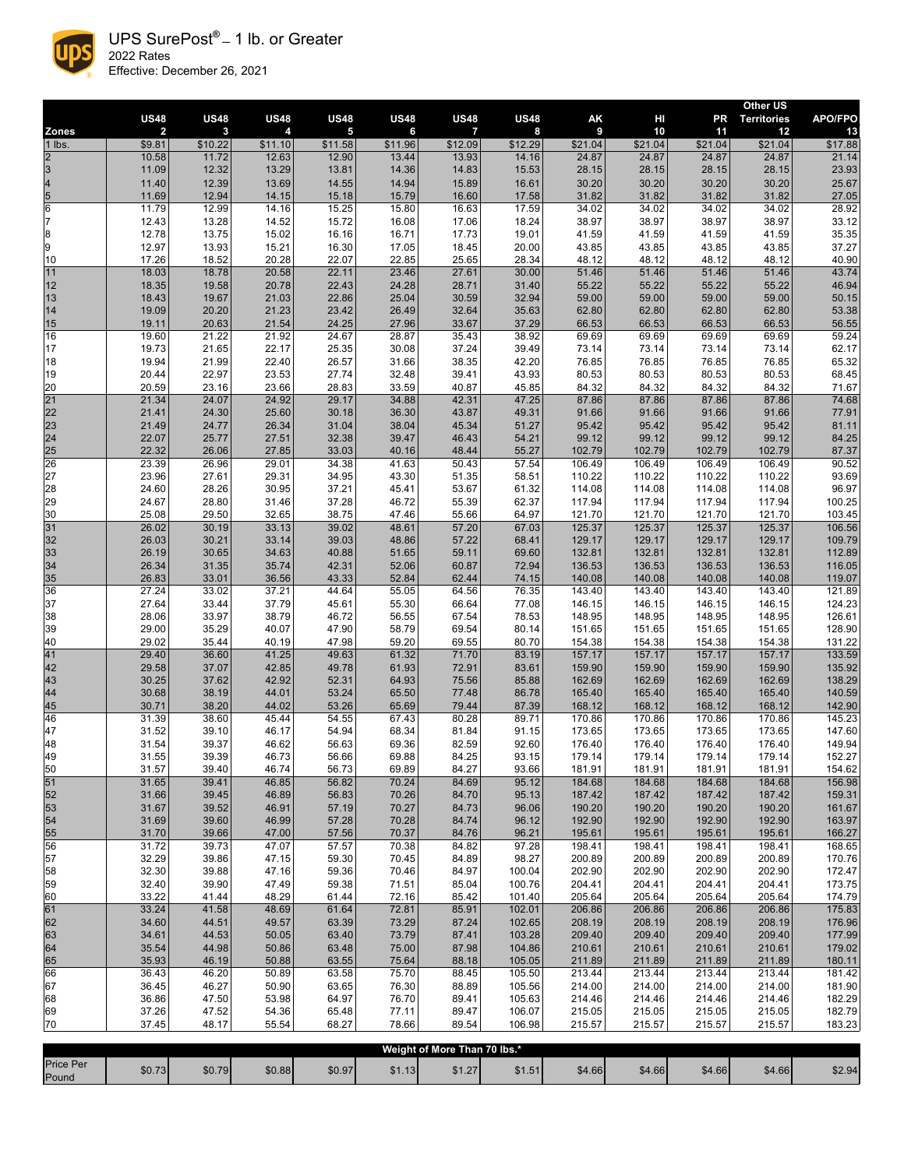|                                                      | <b>US48</b>    | <b>US48</b>    | <b>US48</b>      | <b>US48</b>             | <b>US48</b>    | <b>US48</b>    | <b>US48</b>      | AK               | HI               | <b>PR</b>        | <b>Other US</b><br><b>Territories</b> | <b>APO/FPO</b>   |
|------------------------------------------------------|----------------|----------------|------------------|-------------------------|----------------|----------------|------------------|------------------|------------------|------------------|---------------------------------------|------------------|
| <b>Zones</b>                                         | $\overline{2}$ | $\mathbf{3}$   | $\boldsymbol{4}$ | $\overline{\mathbf{5}}$ | 6              | $\overline{7}$ | 8                | 9                | 10               | 11               | 12                                    | 13               |
| $1$ lbs.                                             | \$9.81         | \$10.22        | \$11.10          | \$11.58                 | \$11.96        | \$12.09        | \$12.29          | \$21.04]         | \$21.04          | \$21.04]         | \$21.04                               | \$17.88          |
| $\overline{2}$<br>$\overline{3}$                     | 10.58<br>11.09 | 11.72          | 12.63<br>13.29   | 12.90<br>13.81          | 13.44<br>14.36 | 13.93<br>14.83 | 14.16            | 24.87            | 24.87<br>28.15   | 24.87<br>28.15   | 24.87<br>28.15                        | 21.14            |
|                                                      | 11.40          | 12.32<br>12.39 | 13.69            | 14.55                   | 14.94          | 15.89          | 15.53<br>16.61   | 28.15<br>30.20   | 30.20            | 30.20            | 30.20                                 | 23.93<br>25.67   |
| $\begin{array}{c}\n4 \\ 5 \\ \hline\n6\n\end{array}$ | 11.69          | 12.94          | 14.15            | 15.18                   | 15.79          | 16.60          | 17.58            | 31.82            | 31.82            | 31.82            | 31.82                                 | 27.05            |
|                                                      | 11.79          | 12.99          | 14.16            | 15.25                   | 15.80          | 16.63          | 17.59            | 34.02            | 34.02            | 34.02            | 34.02                                 | 28.92            |
| $\overline{7}$                                       | 12.43          | 13.28          | 14.52            | 15.72                   | 16.08          | 17.06          | 18.24            | 38.97            | 38.97            | 38.97            | 38.97                                 | 33.12            |
| $\overline{\mathbf{8}}$                              | 12.78          | 13.75          | 15.02            | 16.16                   | 16.71          | 17.73          | 19.01            | 41.59            | 41.59            | 41.59            | 41.59                                 | 35.35            |
| 9                                                    | 12.97          | 13.93          | 15.21            | 16.30                   | 17.05          | 18.45          | 20.00            | 43.85            | 43.85            | 43.85            | 43.85                                 | 37.27            |
| 10<br>11                                             | 17.26<br>18.03 | 18.52<br>18.78 | 20.28<br>20.58   | 22.07<br>22.11          | 22.85<br>23.46 | 25.65<br>27.61 | 28.34<br>30.00   | 48.12<br>51.46   | 48.12<br>51.46   | 48.12<br>51.46   | 48.12<br>51.46                        | 40.90<br>43.74   |
| 12                                                   | 18.35          | 19.58          | 20.78            | 22.43                   | 24.28          | 28.71          | 31.40            | 55.22            | 55.22            | 55.22            | 55.22                                 | 46.94            |
| 13                                                   | 18.43          | 19.67          | 21.03            | 22.86                   | 25.04          | 30.59          | 32.94            | 59.00            | 59.00            | 59.00            | 59.00                                 | 50.15            |
| 14                                                   | 19.09          | 20.20          | 21.23            | 23.42                   | 26.49          | 32.64          | 35.63            | 62.80            | 62.80            | 62.80            | 62.80                                 | 53.38            |
| 15                                                   | 19.11          | 20.63          | 21.54            | 24.25                   | 27.96          | 33.67          | 37.29            | 66.53            | 66.53            | 66.53            | 66.53                                 | 56.55            |
| 16<br>17                                             | 19.60<br>19.73 | 21.22<br>21.65 | 21.92<br>22.17   | 24.67<br>25.35          | 28.87<br>30.08 | 35.43<br>37.24 | 38.92<br>39.49   | 69.69<br>73.14   | 69.69<br>73.14   | 69.69<br>73.14   | 69.69<br>73.14                        | 59.24<br>62.17   |
| 18                                                   | 19.94          | 21.99          | 22.40            | 26.57                   | 31.66          | 38.35          | 42.20            | 76.85            | 76.85            | 76.85            | 76.85                                 | 65.32            |
| 19                                                   | 20.44          | 22.97          | 23.53            | 27.74                   | 32.48          | 39.41          | 43.93            | 80.53            | 80.53            | 80.53            | 80.53                                 | 68.45            |
| 20                                                   | 20.59          | 23.16          | 23.66            | 28.83                   | 33.59          | 40.87          | 45.85            | 84.32            | 84.32            | 84.32            | 84.32                                 | 71.67            |
| $\overline{21}$                                      | 21.34          | 24.07          | 24.92            | 29.17                   | 34.88          | 42.31          | 47.25            | 87.86            | 87.86            | 87.86            | 87.86                                 | 74.68            |
| $\begin{array}{c} 22 \\ 23 \end{array}$              | 21.41          | 24.30          | 25.60            | 30.18                   | 36.30          | 43.87          | 49.31            | 91.66            | 91.66            | 91.66            | 91.66                                 | 77.91            |
| 24                                                   | 21.49<br>22.07 | 24.77<br>25.77 | 26.34<br>27.51   | 31.04<br>32.38          | 38.04<br>39.47 | 45.34<br>46.43 | 51.27<br>54.21   | 95.42<br>99.12   | 95.42<br>99.12   | 95.42<br>99.12   | 95.42<br>99.12                        | 81.11<br>84.25   |
| 25                                                   | 22.32          | 26.06          | 27.85            | 33.03                   | 40.16          | 48.44          | 55.27            | 102.79           | 102.79           | 102.79           | 102.79                                | 87.37            |
| $\overline{26}$                                      | 23.39          | 26.96          | 29.01            | 34.38                   | 41.63          | 50.43          | 57.54            | 106.49           | 106.49           | 106.49           | 106.49                                | 90.52            |
| 27                                                   | 23.96          | 27.61          | 29.31            | 34.95                   | 43.30          | 51.35          | 58.51            | 110.22           | 110.22           | 110.22           | 110.22                                | 93.69            |
| 28                                                   | 24.60          | 28.26          | 30.95            | 37.21                   | 45.41          | 53.67          | 61.32            | 114.08           | 114.08           | 114.08           | 114.08                                | 96.97            |
| 29<br>30                                             | 24.67<br>25.08 | 28.80<br>29.50 | 31.46<br>32.65   | 37.28<br>38.75          | 46.72<br>47.46 | 55.39<br>55.66 | 62.37<br>64.97   | 117.94<br>121.70 | 117.94<br>121.70 | 117.94<br>121.70 | 117.94<br>121.70                      | 100.25<br>103.45 |
| 31                                                   | 26.02          | 30.19          | 33.13            | 39.02                   | 48.61          | 57.20          | 67.03            | 125.37           | 125.37           | 125.37           | 125.37                                | 106.56           |
| 32                                                   | 26.03          | 30.21          | 33.14            | 39.03                   | 48.86          | 57.22          | 68.41            | 129.17           | 129.17           | 129.17           | 129.17                                | 109.79           |
| 33                                                   | 26.19          | 30.65          | 34.63            | 40.88                   | 51.65          | 59.11          | 69.60            | 132.81           | 132.81           | 132.81           | 132.81                                | 112.89           |
| 34                                                   | 26.34          | 31.35          | 35.74            | 42.31                   | 52.06          | 60.87          | 72.94            | 136.53           | 136.53           | 136.53           | 136.53                                | 116.05           |
| 35<br>36                                             | 26.83<br>27.24 | 33.01<br>33.02 | 36.56<br>37.21   | 43.33<br>44.64          | 52.84<br>55.05 | 62.44<br>64.56 | 74.15<br>76.35   | 140.08<br>143.40 | 140.08<br>143.40 | 140.08<br>143.40 | 140.08<br>143.40                      | 119.07           |
| 37                                                   | 27.64          | 33.44          | 37.79            | 45.61                   | 55.30          | 66.64          | 77.08            | 146.15           | 146.15           | 146.15           | 146.15                                | 121.89<br>124.23 |
| 38                                                   | 28.06          | 33.97          | 38.79            | 46.72                   | 56.55          | 67.54          | 78.53            | 148.95           | 148.95           | 148.95           | 148.95                                | 126.61           |
| 39                                                   | 29.00          | 35.29          | 40.07            | 47.90                   | 58.79          | 69.54          | 80.14            | 151.65           | 151.65           | 151.65           | 151.65                                | 128.90           |
| 40                                                   | 29.02          | 35.44          | 40.19            | 47.98                   | 59.20          | 69.55          | 80.70            | 154.38           | 154.38           | 154.38           | 154.38                                | 131.22           |
| 41                                                   | 29.40          | 36.60          | 41.25            | 49.63                   | 61.32          | 71.70          | 83.19            | 157.17           | 157.17           | 157.17           | 157.17                                | 133.59           |
| 42<br>43                                             | 29.58<br>30.25 | 37.07<br>37.62 | 42.85<br>42.92   | 49.78<br>52.31          | 61.93<br>64.93 | 72.91<br>75.56 | 83.61<br>85.88   | 159.90<br>162.69 | 159.90<br>162.69 | 159.90<br>162.69 | 159.90<br>162.69                      | 135.92<br>138.29 |
| 44                                                   | 30.68          | 38.19          | 44.01            | 53.24                   | 65.50          | 77.48          | 86.78            | 165.40           | 165.40           | 165.40           | 165.40                                | 140.59           |
| 45                                                   | 30.71          | 38.20          | 44.02            | 53.26                   | 65.69          | 79.44          | 87.39            | 168.12           | 168.12           | 168.12           | 168.12                                | 142.90           |
| 46                                                   | 31.39          | 38.60          | 45.44            | 54.55                   | 67.43          | 80.28          | 89.71            | 170.86           | 170.86           | 170.86           | 170.86                                | 145.23           |
| 47                                                   | 31.52          | 39.10          | 46.17            | 54.94                   | 68.34          | 81.84          | 91.15            | 173.65           | 173.65           | 173.65           | 173.65                                | 147.60           |
| 48<br>49                                             | 31.54<br>31.55 | 39.37<br>39.39 | 46.62<br>46.73   | 56.63<br>56.66          | 69.36<br>69.88 | 82.59<br>84.25 | 92.60<br>93.15   | 176.40<br>179.14 | 176.40<br>179.14 | 176.40<br>179.14 | 176.40<br>179.14                      | 149.94<br>152.27 |
| 50                                                   | 31.57          | 39.40          | 46.74            | 56.73                   | 69.89          | 84.27          | 93.66            | 181.91           | 181.91           | 181.91           | 181.91                                | 154.62           |
| 51                                                   | 31.65          | 39.41          | 46.85            | 56.82                   | 70.24          | 84.69          | 95.12            | 184.68           | 184.68           | 184.68           | 184.68                                | 156.98           |
| 52                                                   | 31.66          | 39.45          | 46.89            | 56.83                   | 70.26          | 84.70          | 95.13            | 187.42           | 187.42           | 187.42           | 187.42                                | 159.31           |
| 53                                                   | 31.67          | 39.52          | 46.91            | 57.19                   | 70.27          | 84.73          | 96.06            | 190.20           | 190.20           | 190.20           | 190.20                                | 161.67           |
| 54<br>55                                             | 31.69<br>31.70 | 39.60<br>39.66 | 46.99<br>47.00   | 57.28<br>57.56          | 70.28<br>70.37 | 84.74<br>84.76 | 96.12<br>96.21   | 192.90<br>195.61 | 192.90<br>195.61 | 192.90<br>195.61 | 192.90<br>195.61                      | 163.97<br>166.27 |
| 56                                                   | 31.72          | 39.73          | 47.07            | 57.57                   | 70.38          | 84.82          | 97.28            | 198.41           | 198.41           | 198.41           | 198.41                                | 168.65           |
| 57                                                   | 32.29          | 39.86          | 47.15            | 59.30                   | 70.45          | 84.89          | 98.27            | 200.89           | 200.89           | 200.89           | 200.89                                | 170.76           |
| 58                                                   | 32.30          | 39.88          | 47.16            | 59.36                   | 70.46          | 84.97          | 100.04           | 202.90           | 202.90           | 202.90           | 202.90                                | 172.47           |
| 59                                                   | 32.40          | 39.90          | 47.49            | 59.38                   | 71.51          | 85.04          | 100.76           | 204.41           | 204.41           | 204.41           | 204.41                                | 173.75           |
| 60<br>61                                             | 33.22<br>33.24 | 41.44<br>41.58 | 48.29<br>48.69   | 61.44<br>61.64          | 72.16<br>72.81 | 85.42<br>85.91 | 101.40<br>102.01 | 205.64<br>206.86 | 205.64<br>206.86 | 205.64<br>206.86 | 205.64<br>206.86                      | 174.79<br>175.83 |
| 62                                                   | 34.60          | 44.51          | 49.57            | 63.39                   | 73.29          | 87.24          | 102.65           | 208.19           | 208.19           | 208.19           | 208.19                                | 176.96           |
| 63                                                   | 34.61          | 44.53          | 50.05            | 63.40                   | 73.79          | 87.41          | 103.28           | 209.40           | 209.40           | 209.40           | 209.40                                | 177.99           |
| 64                                                   | 35.54          | 44.98          | 50.86            | 63.48                   | 75.00          | 87.98          | 104.86           | 210.61           | 210.61           | 210.61           | 210.61                                | 179.02           |
| 65                                                   | 35.93          | 46.19          | 50.88            | 63.55                   | 75.64          | 88.18          | 105.05           | 211.89           | 211.89           | 211.89           | 211.89                                | 180.11           |
| 66                                                   | 36.43          | 46.20          | 50.89            | 63.58                   | 75.70          | 88.45          | 105.50           | 213.44           | 213.44           | 213.44           | 213.44                                | 181.42           |
| 67<br>68                                             | 36.45<br>36.86 | 46.27<br>47.50 | 50.90<br>53.98   | 63.65<br>64.97          | 76.30<br>76.70 | 88.89<br>89.41 | 105.56<br>105.63 | 214.00<br>214.46 | 214.00<br>214.46 | 214.00<br>214.46 | 214.00<br>214.46                      | 181.90<br>182.29 |
| 69                                                   | 37.26          | 47.52          | 54.36            | 65.48                   | 77.11          | 89.47          | 106.07           | 215.05           | 215.05           | 215.05           | 215.05                                | 182.79           |
| 70                                                   | 37.45          | 48.17          | 55.54            | 68.27                   | 78.66          | 89.54          | 106.98           | 215.57           | 215.57           | 215.57           | 215.57                                | 183.23           |

| Weight of More Than 70 lbs.* |        |        |        |        |                        |        |        |        |        |        |        |        |
|------------------------------|--------|--------|--------|--------|------------------------|--------|--------|--------|--------|--------|--------|--------|
| <b>Price Per</b><br>Pound    | \$0.73 | \$0.79 | \$0.88 | \$0.97 | $\sqrt{2}$<br>5 ו. ו ס | \$1.27 | \$1.51 | \$4.66 | \$4.66 | \$4.66 | \$4.66 | \$2.94 |



UPS SurePost**® —** 1 lb. or Greater 2022 Rates Effective: December 26, 2021